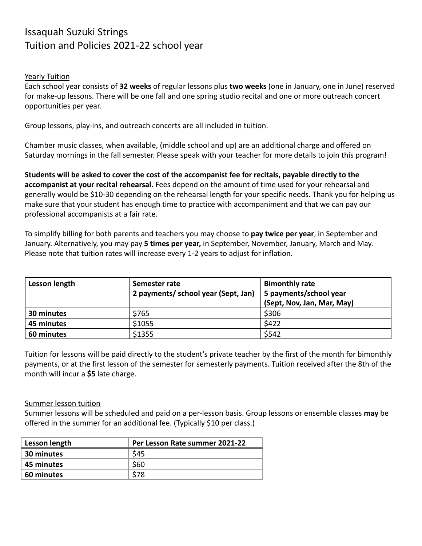## Issaquah Suzuki Strings Tuition and Policies 2021-22 school year

## Yearly Tuition

Each school year consists of **32 weeks** of regular lessons plus **two weeks** (one in January, one in June) reserved for make-up lessons. There will be one fall and one spring studio recital and one or more outreach concert opportunities per year.

Group lessons, play-ins, and outreach concerts are all included in tuition.

Chamber music classes, when available, (middle school and up) are an additional charge and offered on Saturday mornings in the fall semester. Please speak with your teacher for more details to join this program!

**Students will be asked to cover the cost of the accompanist fee for recitals, payable directly to the accompanist at your recital rehearsal.** Fees depend on the amount of time used for your rehearsal and generally would be \$10-30 depending on the rehearsal length for your specific needs. Thank you for helping us make sure that your student has enough time to practice with accompaniment and that we can pay our professional accompanists at a fair rate.

To simplify billing for both parents and teachers you may choose to **pay twice per year**, in September and January. Alternatively, you may pay **5 times per year,** in September, November, January, March and May. Please note that tuition rates will increase every 1-2 years to adjust for inflation.

| Lesson length | Semester rate<br>2 payments/ school year (Sept, Jan) | <b>Bimonthly rate</b><br>5 payments/school year<br>(Sept, Nov, Jan, Mar, May) |
|---------------|------------------------------------------------------|-------------------------------------------------------------------------------|
| 30 minutes    | \$765                                                | \$306                                                                         |
| 45 minutes    | \$1055                                               | \$422                                                                         |
| 60 minutes    | \$1355                                               | \$542                                                                         |

Tuition for lessons will be paid directly to the student's private teacher by the first of the month for bimonthly payments, or at the first lesson of the semester for semesterly payments. Tuition received after the 8th of the month will incur a **\$5** late charge.

## Summer lesson tuition

Summer lessons will be scheduled and paid on a per-lesson basis. Group lessons or ensemble classes **may** be offered in the summer for an additional fee. (Typically \$10 per class.)

| Lesson length | Per Lesson Rate summer 2021-22 |
|---------------|--------------------------------|
| 30 minutes    | \$45                           |
| 45 minutes    | \$60                           |
| 60 minutes    | \$78                           |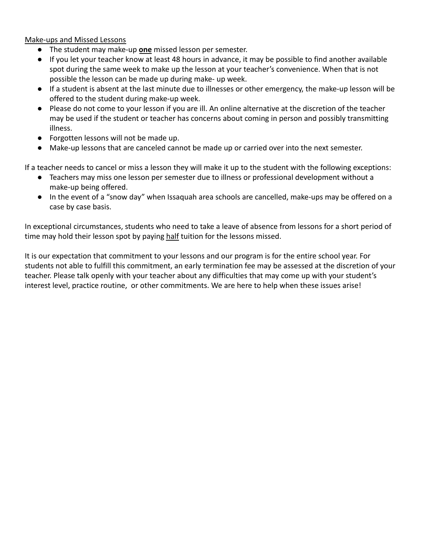Make-ups and Missed Lessons

- The student may make-up **one** missed lesson per semester.
- If you let your teacher know at least 48 hours in advance, it may be possible to find another available spot during the same week to make up the lesson at your teacher's convenience. When that is not possible the lesson can be made up during make- up week.
- If a student is absent at the last minute due to illnesses or other emergency, the make-up lesson will be offered to the student during make-up week.
- Please do not come to your lesson if you are ill. An online alternative at the discretion of the teacher may be used if the student or teacher has concerns about coming in person and possibly transmitting illness.
- Forgotten lessons will not be made up.
- Make-up lessons that are canceled cannot be made up or carried over into the next semester.

If a teacher needs to cancel or miss a lesson they will make it up to the student with the following exceptions:

- Teachers may miss one lesson per semester due to illness or professional development without a make-up being offered.
- In the event of a "snow day" when Issaquah area schools are cancelled, make-ups may be offered on a case by case basis.

In exceptional circumstances, students who need to take a leave of absence from lessons for a short period of time may hold their lesson spot by paying half tuition for the lessons missed.

It is our expectation that commitment to your lessons and our program is for the entire school year. For students not able to fulfill this commitment, an early termination fee may be assessed at the discretion of your teacher. Please talk openly with your teacher about any difficulties that may come up with your student's interest level, practice routine, or other commitments. We are here to help when these issues arise!